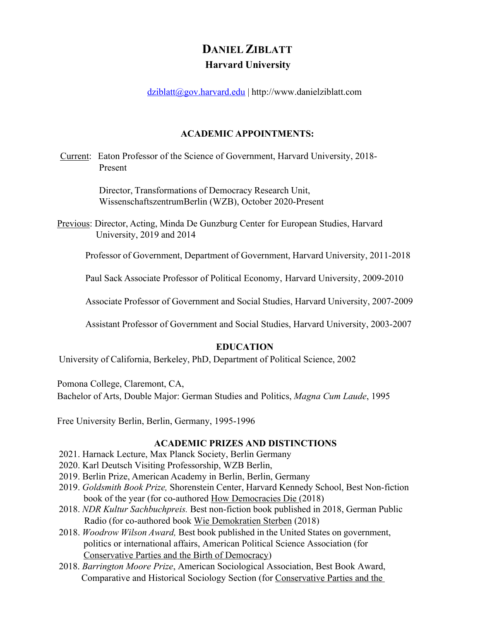# **DANIEL ZIBLATT Harvard University**

dziblatt@gov.harvard.edu | http://www.danielziblatt.com

## **ACADEMIC APPOINTMENTS:**

Current: Eaton Professor of the Science of Government, Harvard University, 2018- Present

> Director, Transformations of Democracy Research Unit, WissenschaftszentrumBerlin (WZB), October 2020-Present

Previous: Director, Acting, Minda De Gunzburg Center for European Studies, Harvard University, 2019 and 2014

Professor of Government, Department of Government, Harvard University, 2011-2018

Paul Sack Associate Professor of Political Economy, Harvard University, 2009-2010

Associate Professor of Government and Social Studies, Harvard University, 2007-2009

Assistant Professor of Government and Social Studies, Harvard University, 2003-2007

# **EDUCATION**

University of California, Berkeley, PhD, Department of Political Science, 2002

Pomona College, Claremont, CA,

Bachelor of Arts, Double Major: German Studies and Politics, *Magna Cum Laude*, 1995

Free University Berlin, Berlin, Germany, 1995-1996

# **ACADEMIC PRIZES AND DISTINCTIONS**

- 2021. Harnack Lecture, Max Planck Society, Berlin Germany
- 2020. Karl Deutsch Visiting Professorship, WZB Berlin,
- 2019. Berlin Prize, American Academy in Berlin, Berlin, Germany
- 2019. *Goldsmith Book Prize,* Shorenstein Center, Harvard Kennedy School, Best Non-fiction book of the year (for co-authored How Democracies Die (2018)
- 2018. *NDR Kultur Sachbuchpreis.* Best non-fiction book published in 2018, German Public Radio (for co-authored book Wie Demokratien Sterben (2018)
- 2018. *Woodrow Wilson Award,* Best book published in the United States on government, politics or international affairs, American Political Science Association (for Conservative Parties and the Birth of Democracy)
- 2018. *Barrington Moore Prize*, American Sociological Association, Best Book Award, Comparative and Historical Sociology Section (for Conservative Parties and the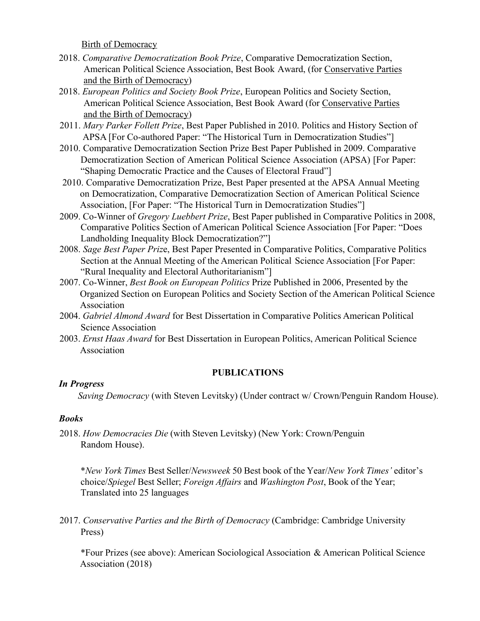Birth of Democracy

- 2018. *Comparative Democratization Book Prize*, Comparative Democratization Section, American Political Science Association, Best Book Award, (for Conservative Parties and the Birth of Democracy)
- 2018. *European Politics and Society Book Prize*, European Politics and Society Section, American Political Science Association, Best Book Award (for Conservative Parties and the Birth of Democracy)
- 2011. *Mary Parker Follett Prize*, Best Paper Published in 2010. Politics and History Section of APSA [For Co-authored Paper: "The Historical Turn in Democratization Studies"]
- 2010. Comparative Democratization Section Prize Best Paper Published in 2009. Comparative Democratization Section of American Political Science Association (APSA) [For Paper: "Shaping Democratic Practice and the Causes of Electoral Fraud"]
- 2010. Comparative Democratization Prize, Best Paper presented at the APSA Annual Meeting on Democratization, Comparative Democratization Section of American Political Science Association, [For Paper: "The Historical Turn in Democratization Studies"]
- 2009. Co-Winner of *Gregory Luebbert Prize*, Best Paper published in Comparative Politics in 2008, Comparative Politics Section of American Political Science Association [For Paper: "Does Landholding Inequality Block Democratization?"]
- 2008. *Sage Best Paper Priz*e, Best Paper Presented in Comparative Politics, Comparative Politics Section at the Annual Meeting of the American Political Science Association [For Paper: "Rural Inequality and Electoral Authoritarianism"]
- 2007. Co-Winner, *Best Book on European Politics* Prize Published in 2006, Presented by the Organized Section on European Politics and Society Section of the American Political Science Association
- 2004. *Gabriel Almond Award* for Best Dissertation in Comparative Politics American Political Science Association
- 2003. *Ernst Haas Award* for Best Dissertation in European Politics, American Political Science Association

# **PUBLICATIONS**

# *In Progress*

*Saving Democracy* (with Steven Levitsky) (Under contract w/ Crown/Penguin Random House).

# *Books*

2018. *How Democracies Die* (with Steven Levitsky) (New York: Crown/Penguin Random House).

\**New York Times* Best Seller/*Newsweek* 50 Best book of the Year/*New York Times'* editor's choice/*Spiegel* Best Seller; *Foreign Affairs* and *Washington Post*, Book of the Year; Translated into 25 languages

2017. *Conservative Parties and the Birth of Democracy* (Cambridge: Cambridge University Press)

\*Four Prizes (see above): American Sociological Association & American Political Science Association (2018)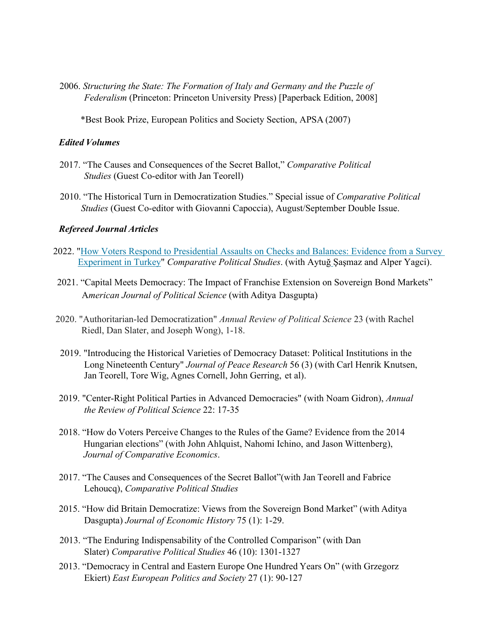2006. *Structuring the State: The Formation of Italy and Germany and the Puzzle of Federalism* (Princeton: Princeton University Press) [Paperback Edition, 2008]

\*Best Book Prize, European Politics and Society Section, APSA (2007)

## *Edited Volumes*

- 2017. "The Causes and Consequences of the Secret Ballot," *Comparative Political Studies* (Guest Co-editor with Jan Teorell)
- 2010. "The Historical Turn in Democratization Studies." Special issue of *Comparative Political Studies* (Guest Co-editor with Giovanni Capoccia), August/September Double Issue.

# *Refereed Journal Articles*

- 2022. "How Voters Respond to Presidential Assaults on Checks and Balances: Evidence from a Survey Experiment in Turkey" *Comparative Political Studies*. (with Aytuğ Şaşmaz and Alper Yagci).
- 2021. "Capital Meets Democracy: The Impact of Franchise Extension on Sovereign Bond Markets" A*merican Journal of Political Science* (with Aditya Dasgupta)
- 2020. "Authoritarian-led Democratization" *Annual Review of Political Science* 23 (with Rachel Riedl, Dan Slater, and Joseph Wong), 1-18.
- 2019. "Introducing the Historical Varieties of Democracy Dataset: Political Institutions in the Long Nineteenth Century" *Journal of Peace Research* 56 (3) (with Carl Henrik Knutsen, Jan Teorell, Tore Wig, Agnes Cornell, John Gerring, et al).
- 2019. "Center-Right Political Parties in Advanced Democracies" (with Noam Gidron), *Annual the Review of Political Science* 22: 17-35
- 2018. "How do Voters Perceive Changes to the Rules of the Game? Evidence from the 2014 Hungarian elections" (with John Ahlquist, Nahomi Ichino, and Jason Wittenberg), *Journal of Comparative Economics*.
- 2017. "The Causes and Consequences of the Secret Ballot"(with Jan Teorell and Fabrice Lehoucq), *Comparative Political Studies*
- 2015. "How did Britain Democratize: Views from the Sovereign Bond Market" (with Aditya Dasgupta) *Journal of Economic History* 75 (1): 1-29.
- 2013. "The Enduring Indispensability of the Controlled Comparison" (with Dan Slater) *Comparative Political Studies* 46 (10): 1301-1327
- 2013. "Democracy in Central and Eastern Europe One Hundred Years On" (with Grzegorz Ekiert) *East European Politics and Society* 27 (1): 90-127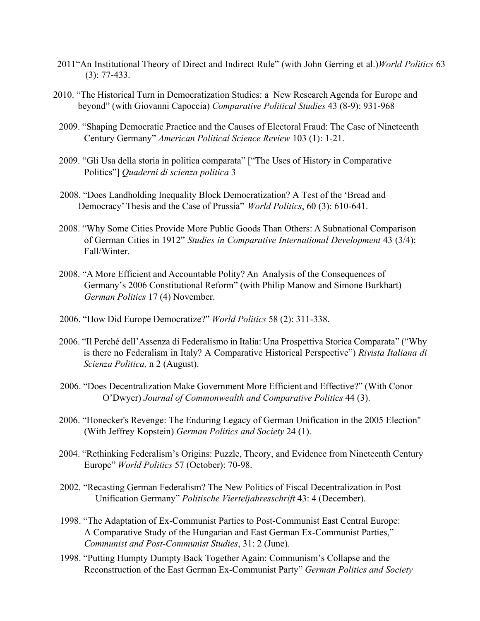- 2011"An Institutional Theory of Direct and Indirect Rule" (with John Gerring et al.)*World Politics* 63 (3): 77-433.
- 2010. "The Historical Turn in Democratization Studies: a New Research Agenda for Europe and beyond" (with Giovanni Capoccia) *Comparative Political Studies* 43 (8-9): 931-968
	- 2009. "Shaping Democratic Practice and the Causes of Electoral Fraud: The Case of Nineteenth Century Germany" *American Political Science Review* 103 (1): 1-21.
	- 2009. "Gli Usa della storia in politica comparata" ["The Uses of History in Comparative Politics"] *Quaderni di scienza politica* 3
	- 2008. "Does Landholding Inequality Block Democratization? A Test of the 'Bread and Democracy'Thesis and the Case of Prussia" *World Politics*, 60 (3): 610-641.
	- 2008. "Why Some Cities Provide More Public Goods Than Others: A Subnational Comparison of German Cities in 1912" *Studies in Comparative International Development* 43 (3/4): Fall/Winter.
	- 2008. "A More Efficient and Accountable Polity? An Analysis of the Consequences of Germany's 2006 Constitutional Reform" (with Philip Manow and Simone Burkhart) *German Politics* 17 (4) November.
	- 2006. "How Did Europe Democratize?" *World Politics* 58 (2): 311-338.
	- 2006. "Il Perché dell'Assenza di Federalismo in Italia: Una Prospettiva Storica Comparata" ("Why is there no Federalism in Italy? A Comparative Historical Perspective") *Rivista Italiana di Scienza Politica,* n 2 (August).
	- 2006. "Does Decentralization Make Government More Efficient and Effective?" (With Conor O'Dwyer) *Journal of Commonwealth and Comparative Politics* 44 (3).
	- 2006. "Honecker's Revenge: The Enduring Legacy of German Unification in the 2005 Election" (With Jeffrey Kopstein) *German Politics and Society* 24 (1).
	- 2004. "Rethinking Federalism's Origins: Puzzle, Theory, and Evidence from Nineteenth Century Europe" *World Politics* 57 (October): 70-98.
	- 2002. "Recasting German Federalism? The New Politics of Fiscal Decentralization in Post Unification Germany" *Politische Vierteljahresschrift* 43: 4 (December).
	- 1998. "The Adaptation of Ex-Communist Parties to Post-Communist East Central Europe: A Comparative Study of the Hungarian and East German Ex-Communist Parties," *Communist and Post-Communist Studies*, 31: 2 (June).
	- 1998. "Putting Humpty Dumpty Back Together Again: Communism's Collapse and the Reconstruction of the East German Ex-Communist Party" *German Politics and Society*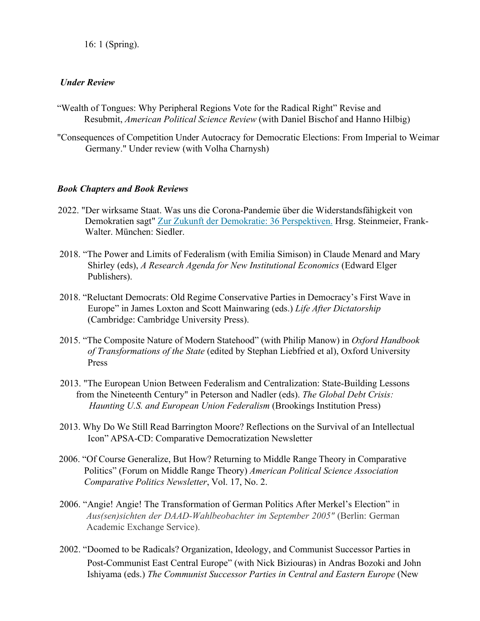16: 1 (Spring).

## *Under Review*

- "Wealth of Tongues: Why Peripheral Regions Vote for the Radical Right" Revise and Resubmit, *American Political Science Review* (with Daniel Bischof and Hanno Hilbig)
- "Consequences of Competition Under Autocracy for Democratic Elections: From Imperial to Weimar Germany." Under review (with Volha Charnysh)

## *Book Chapters and Book Reviews*

- 2022. "Der wirksame Staat. Was uns die Corona-Pandemie über die Widerstandsfähigkeit von Demokratien sagt" Zur Zukunft der Demokratie: 36 Perspektiven. Hrsg. Steinmeier, Frank-Walter. München: Siedler.
- 2018. "The Power and Limits of Federalism (with Emilia Simison) in Claude Menard and Mary Shirley (eds), *A Research Agenda for New Institutional Economics* (Edward Elger Publishers).
- 2018. "Reluctant Democrats: Old Regime Conservative Parties in Democracy's First Wave in Europe" in James Loxton and Scott Mainwaring (eds.) *Life After Dictatorship* (Cambridge: Cambridge University Press).
- 2015. "The Composite Nature of Modern Statehood" (with Philip Manow) in *Oxford Handbook of Transformations of the State* (edited by Stephan Liebfried et al), Oxford University Press
- 2013. "The European Union Between Federalism and Centralization: State-Building Lessons from the Nineteenth Century" in Peterson and Nadler (eds). *The Global Debt Crisis: Haunting U.S. and European Union Federalism* (Brookings Institution Press)
- 2013. Why Do We Still Read Barrington Moore? Reflections on the Survival of an Intellectual Icon" APSA-CD: Comparative Democratization Newsletter
- 2006. "Of Course Generalize, But How? Returning to Middle Range Theory in Comparative Politics" (Forum on Middle Range Theory) *American Political Science Association Comparative Politics Newsletter*, Vol. 17, No. 2.
- 2006. "Angie! Angie! The Transformation of German Politics After Merkel's Election" in *Aus(sen)sichten der DAAD-Wahlbeobachter im September 2005"* (Berlin: German Academic Exchange Service).
- 2002. "Doomed to be Radicals? Organization, Ideology, and Communist Successor Parties in Post-Communist East Central Europe" (with Nick Biziouras) in Andras Bozoki and John Ishiyama (eds.) *The Communist Successor Parties in Central and Eastern Europe* (New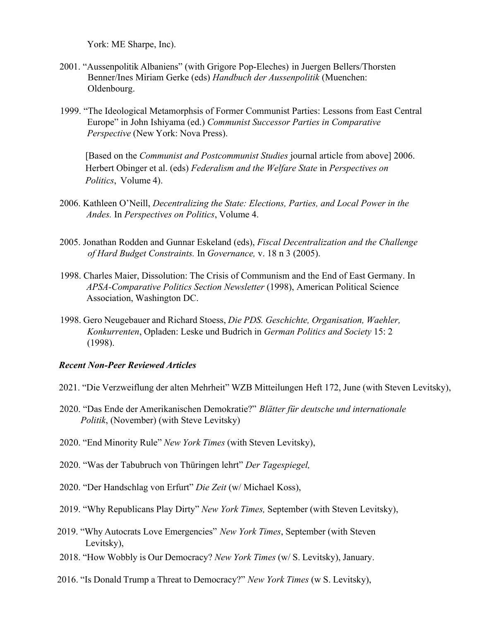York: ME Sharpe, Inc).

- 2001. "Aussenpolitik Albaniens" (with Grigore Pop-Eleches) in Juergen Bellers/Thorsten Benner/Ines Miriam Gerke (eds) *Handbuch der Aussenpolitik* (Muenchen: Oldenbourg.
- 1999. "The Ideological Metamorphsis of Former Communist Parties: Lessons from East Central Europe" in John Ishiyama (ed.) *Communist Successor Parties in Comparative Perspective* (New York: Nova Press).

[Based on the *Communist and Postcommunist Studies* journal article from above] 2006. Herbert Obinger et al. (eds) *Federalism and the Welfare State* in *Perspectives on Politics*, Volume 4).

- 2006. Kathleen O'Neill, *Decentralizing the State: Elections, Parties, and Local Power in the Andes.* In *Perspectives on Politics*, Volume 4.
- 2005. Jonathan Rodden and Gunnar Eskeland (eds), *Fiscal Decentralization and the Challenge of Hard Budget Constraints.* In *Governance,* v. 18 n 3 (2005).
- 1998. Charles Maier, Dissolution: The Crisis of Communism and the End of East Germany. In *APSA-Comparative Politics Section Newsletter* (1998), American Political Science Association, Washington DC.
- 1998. Gero Neugebauer and Richard Stoess, *Die PDS. Geschichte, Organisation, Waehler, Konkurrenten*, Opladen: Leske und Budrich in *German Politics and Society* 15: 2 (1998).

#### *Recent Non-Peer Reviewed Articles*

- 2021. "Die Verzweiflung der alten Mehrheit" WZB Mitteilungen Heft 172, June (with Steven Levitsky),
- 2020. "Das Ende der Amerikanischen Demokratie?" *Blätter für deutsche und internationale Politik*, (November) (with Steve Levitsky)
- 2020. "End Minority Rule" *New York Times* (with Steven Levitsky),
- 2020. "Was der Tabubruch von Thüringen lehrt" *Der Tagespiegel,*
- 2020. "Der Handschlag von Erfurt" *Die Zeit* (w/ Michael Koss),
- 2019. "Why Republicans Play Dirty" *New York Times,* September (with Steven Levitsky),
- 2019. "Why Autocrats Love Emergencies" *New York Times*, September (with Steven Levitsky),
- 2018. "How Wobbly is Our Democracy? *New York Times* (w/ S. Levitsky), January.
- 2016. "Is Donald Trump a Threat to Democracy?" *New York Times* (w S. Levitsky),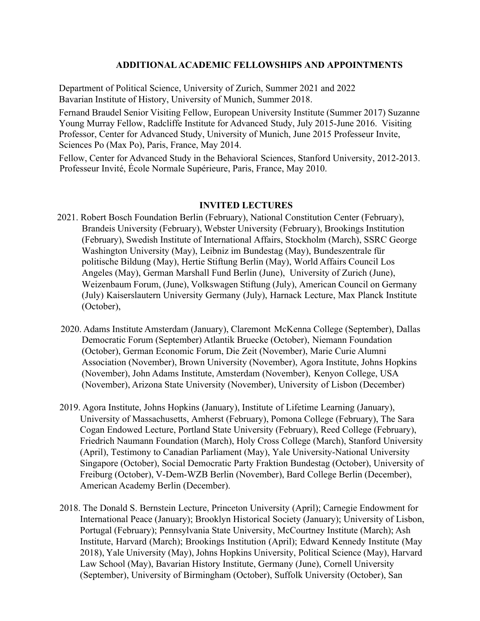## **ADDITIONALACADEMIC FELLOWSHIPS AND APPOINTMENTS**

Department of Political Science, University of Zurich, Summer 2021 and 2022 Bavarian Institute of History, University of Munich, Summer 2018.

Fernand Braudel Senior Visiting Fellow, European University Institute (Summer 2017) Suzanne Young Murray Fellow, Radcliffe Institute for Advanced Study, July 2015-June 2016. Visiting Professor, Center for Advanced Study, University of Munich, June 2015 Professeur Invite, Sciences Po (Max Po), Paris, France, May 2014.

Fellow, Center for Advanced Study in the Behavioral Sciences, Stanford University, 2012-2013. Professeur Invité, École Normale Supérieure, Paris, France, May 2010.

#### **INVITED LECTURES**

- 2021. Robert Bosch Foundation Berlin (February), National Constitution Center (February), Brandeis University (February), Webster University (February), Brookings Institution (February), Swedish Institute of International Affairs, Stockholm (March), SSRC George Washington University (May), Leibniz im Bundestag (May), Bundeszentrale für politische Bildung (May), Hertie Stiftung Berlin (May), World Affairs Council Los Angeles (May), German Marshall Fund Berlin (June), University of Zurich (June), Weizenbaum Forum, (June), Volkswagen Stiftung (July), American Council on Germany (July) Kaiserslautern University Germany (July), Harnack Lecture, Max Planck Institute (October),
- 2020. Adams Institute Amsterdam (January), Claremont McKenna College (September), Dallas Democratic Forum (September) Atlantik Bruecke (October), Niemann Foundation (October), German Economic Forum, Die Zeit (November), Marie Curie Alumni Association (November), Brown University (November), Agora Institute, Johns Hopkins (November), John Adams Institute, Amsterdam (November), Kenyon College, USA (November), Arizona State University (November), University of Lisbon (December)
- 2019. Agora Institute, Johns Hopkins (January), Institute of Lifetime Learning (January), University of Massachusetts, Amherst (February), Pomona College (February), The Sara Cogan Endowed Lecture, Portland State University (February), Reed College (February), Friedrich Naumann Foundation (March), Holy Cross College (March), Stanford University (April), Testimony to Canadian Parliament (May), Yale University-National University Singapore (October), Social Democratic Party Fraktion Bundestag (October), University of Freiburg (October), V-Dem-WZB Berlin (November), Bard College Berlin (December), American Academy Berlin (December).
- 2018. The Donald S. Bernstein Lecture, Princeton University (April); Carnegie Endowment for International Peace (January); Brooklyn Historical Society (January); University of Lisbon, Portugal (February); Pennsylvania State University, McCourtney Institute (March); Ash Institute, Harvard (March); Brookings Institution (April); Edward Kennedy Institute (May 2018), Yale University (May), Johns Hopkins University, Political Science (May), Harvard Law School (May), Bavarian History Institute, Germany (June), Cornell University (September), University of Birmingham (October), Suffolk University (October), San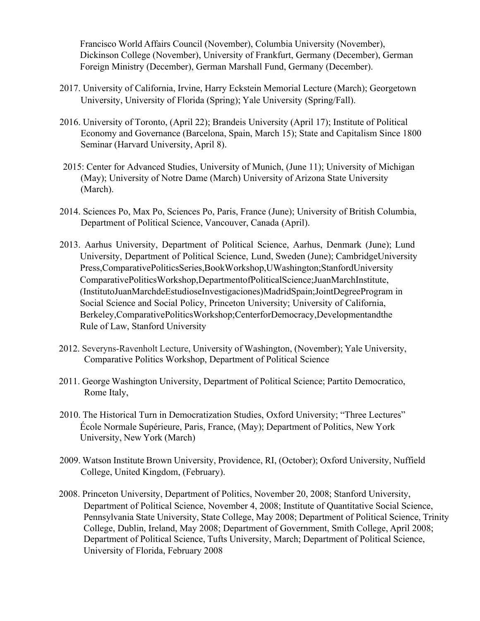Francisco World Affairs Council (November), Columbia University (November), Dickinson College (November), University of Frankfurt, Germany (December), German Foreign Ministry (December), German Marshall Fund, Germany (December).

- 2017. University of California, Irvine, Harry Eckstein Memorial Lecture (March); Georgetown University, University of Florida (Spring); Yale University (Spring/Fall).
- 2016. University of Toronto, (April 22); Brandeis University (April 17); Institute of Political Economy and Governance (Barcelona, Spain, March 15); State and Capitalism Since 1800 Seminar (Harvard University, April 8).
- 2015: Center for Advanced Studies, University of Munich, (June 11); University of Michigan (May); University of Notre Dame (March) University of Arizona State University (March).
- 2014. Sciences Po, Max Po, Sciences Po, Paris, France (June); University of British Columbia, Department of Political Science, Vancouver, Canada (April).
- 2013. Aarhus University, Department of Political Science, Aarhus, Denmark (June); Lund University, Department of Political Science, Lund, Sweden (June); CambridgeUniversity Press,ComparativePoliticsSeries,BookWorkshop,UWashington;StanfordUniversity ComparativePoliticsWorkshop,DepartmentofPoliticalScience;JuanMarchInstitute, (InstitutoJuanMarchdeEstudioseInvestigaciones)MadridSpain;JointDegreeProgram in Social Science and Social Policy, Princeton University; University of California, Berkeley,ComparativePoliticsWorkshop;CenterforDemocracy,Developmentandthe Rule of Law, Stanford University
- 2012. Severyns-Ravenholt Lecture, University of Washington, (November); Yale University, Comparative Politics Workshop, Department of Political Science
- 2011. George Washington University, Department of Political Science; Partito Democratico, Rome Italy,
- 2010. The Historical Turn in Democratization Studies, Oxford University; "Three Lectures" École Normale Supérieure, Paris, France, (May); Department of Politics, New York University, New York (March)
- 2009. Watson Institute Brown University, Providence, RI, (October); Oxford University, Nuffield College, United Kingdom, (February).
- 2008. Princeton University, Department of Politics, November 20, 2008; Stanford University, Department of Political Science, November 4, 2008; Institute of Quantitative Social Science, Pennsylvania State University, State College, May 2008; Department of Political Science, Trinity College, Dublin, Ireland, May 2008; Department of Government, Smith College, April 2008; Department of Political Science, Tufts University, March; Department of Political Science, University of Florida, February 2008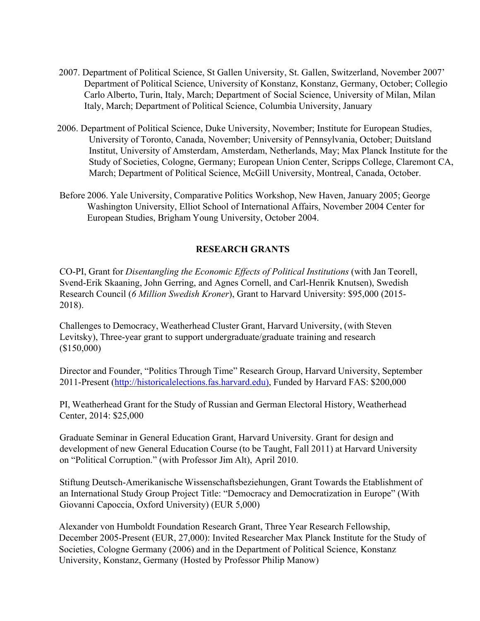- 2007. Department of Political Science, St Gallen University, St. Gallen, Switzerland, November 2007' Department of Political Science, University of Konstanz, Konstanz, Germany, October; Collegio Carlo Alberto, Turin, Italy, March; Department of Social Science, University of Milan, Milan Italy, March; Department of Political Science, Columbia University, January
- 2006. Department of Political Science, Duke University, November; Institute for European Studies, University of Toronto, Canada, November; University of Pennsylvania, October; Duitsland Institut, University of Amsterdam, Amsterdam, Netherlands, May; Max Planck Institute for the Study of Societies, Cologne, Germany; European Union Center, Scripps College, Claremont CA, March; Department of Political Science, McGill University, Montreal, Canada, October.
- Before 2006. Yale University, Comparative Politics Workshop, New Haven, January 2005; George Washington University, Elliot School of International Affairs, November 2004 Center for European Studies, Brigham Young University, October 2004.

# **RESEARCH GRANTS**

CO-PI, Grant for *Disentangling the Economic Effects of Political Institutions* (with Jan Teorell, Svend-Erik Skaaning, John Gerring, and Agnes Cornell, and Carl-Henrik Knutsen), Swedish Research Council (*6 Million Swedish Kroner*), Grant to Harvard University: \$95,000 (2015- 2018).

Challenges to Democracy, Weatherhead Cluster Grant, Harvard University, (with Steven Levitsky), Three-year grant to support undergraduate/graduate training and research (\$150,000)

Director and Founder, "Politics Through Time" Research Group, Harvard University, September 2011-Present (http://historicalelections.fas.harvard.edu), Funded by Harvard FAS: \$200,000

PI, Weatherhead Grant for the Study of Russian and German Electoral History, Weatherhead Center, 2014: \$25,000

Graduate Seminar in General Education Grant, Harvard University. Grant for design and development of new General Education Course (to be Taught, Fall 2011) at Harvard University on "Political Corruption." (with Professor Jim Alt), April 2010.

Stiftung Deutsch-Amerikanische Wissenschaftsbeziehungen, Grant Towards the Etablishment of an International Study Group Project Title: "Democracy and Democratization in Europe" (With Giovanni Capoccia, Oxford University) (EUR 5,000)

Alexander von Humboldt Foundation Research Grant, Three Year Research Fellowship, December 2005-Present (EUR, 27,000): Invited Researcher Max Planck Institute for the Study of Societies, Cologne Germany (2006) and in the Department of Political Science, Konstanz University, Konstanz, Germany (Hosted by Professor Philip Manow)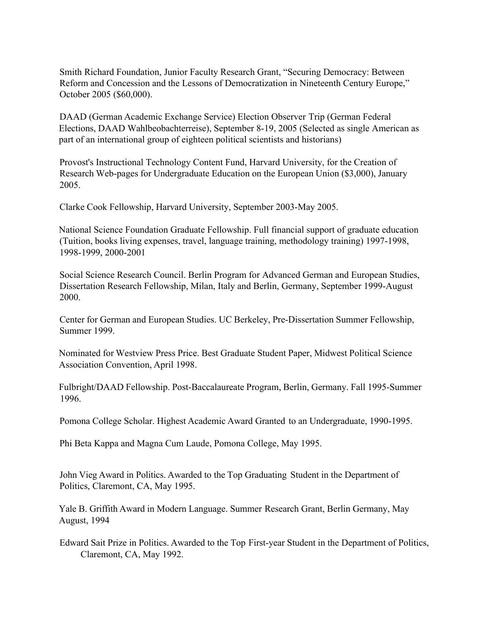Smith Richard Foundation, Junior Faculty Research Grant, "Securing Democracy: Between Reform and Concession and the Lessons of Democratization in Nineteenth Century Europe," October 2005 (\$60,000).

DAAD (German Academic Exchange Service) Election Observer Trip (German Federal Elections, DAAD Wahlbeobachterreise), September 8-19, 2005 (Selected as single American as part of an international group of eighteen political scientists and historians)

Provost's Instructional Technology Content Fund, Harvard University, for the Creation of Research Web-pages for Undergraduate Education on the European Union (\$3,000), January 2005.

Clarke Cook Fellowship, Harvard University, September 2003-May 2005.

National Science Foundation Graduate Fellowship. Full financial support of graduate education (Tuition, books living expenses, travel, language training, methodology training) 1997-1998, 1998-1999, 2000-2001

Social Science Research Council. Berlin Program for Advanced German and European Studies, Dissertation Research Fellowship, Milan, Italy and Berlin, Germany, September 1999-August 2000.

Center for German and European Studies. UC Berkeley, Pre-Dissertation Summer Fellowship, Summer 1999.

Nominated for Westview Press Price. Best Graduate Student Paper, Midwest Political Science Association Convention, April 1998.

Fulbright/DAAD Fellowship. Post-Baccalaureate Program, Berlin, Germany. Fall 1995-Summer 1996.

Pomona College Scholar. Highest Academic Award Granted to an Undergraduate, 1990-1995.

Phi Beta Kappa and Magna Cum Laude, Pomona College, May 1995.

John Vieg Award in Politics. Awarded to the Top Graduating Student in the Department of Politics, Claremont, CA, May 1995.

Yale B. Griffith Award in Modern Language. Summer Research Grant, Berlin Germany, May August, 1994

Edward Sait Prize in Politics. Awarded to the Top First-year Student in the Department of Politics, Claremont, CA, May 1992.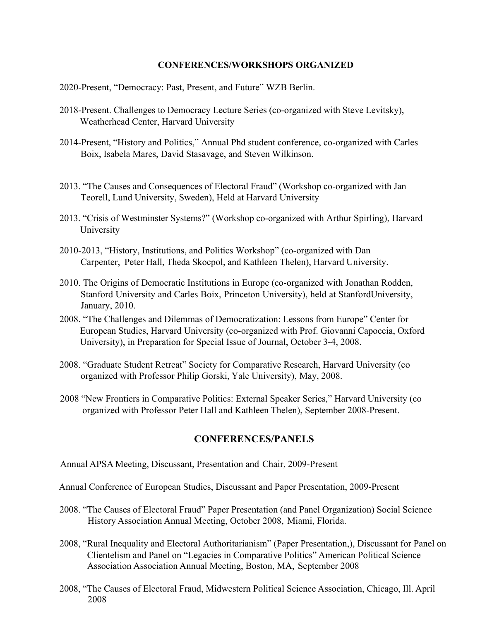#### **CONFERENCES/WORKSHOPS ORGANIZED**

- 2020-Present, "Democracy: Past, Present, and Future" WZB Berlin.
- 2018-Present. Challenges to Democracy Lecture Series (co-organized with Steve Levitsky), Weatherhead Center, Harvard University
- 2014-Present, "History and Politics," Annual Phd student conference, co-organized with Carles Boix, Isabela Mares, David Stasavage, and Steven Wilkinson.
- 2013. "The Causes and Consequences of Electoral Fraud" (Workshop co-organized with Jan Teorell, Lund University, Sweden), Held at Harvard University
- 2013. "Crisis of Westminster Systems?" (Workshop co-organized with Arthur Spirling), Harvard University
- 2010-2013, "History, Institutions, and Politics Workshop" (co-organized with Dan Carpenter, Peter Hall, Theda Skocpol, and Kathleen Thelen), Harvard University.
- 2010. The Origins of Democratic Institutions in Europe (co-organized with Jonathan Rodden, Stanford University and Carles Boix, Princeton University), held at StanfordUniversity, January, 2010.
- 2008. "The Challenges and Dilemmas of Democratization: Lessons from Europe" Center for European Studies, Harvard University (co-organized with Prof. Giovanni Capoccia, Oxford University), in Preparation for Special Issue of Journal, October 3-4, 2008.
- 2008. "Graduate Student Retreat" Society for Comparative Research, Harvard University (co organized with Professor Philip Gorski, Yale University), May, 2008.
- 2008 "New Frontiers in Comparative Politics: External Speaker Series," Harvard University (co organized with Professor Peter Hall and Kathleen Thelen), September 2008-Present.

### **CONFERENCES/PANELS**

- Annual APSA Meeting, Discussant, Presentation and Chair, 2009-Present
- Annual Conference of European Studies, Discussant and Paper Presentation, 2009-Present
- 2008. "The Causes of Electoral Fraud" Paper Presentation (and Panel Organization) Social Science History Association Annual Meeting, October 2008, Miami, Florida.
- 2008, "Rural Inequality and Electoral Authoritarianism" (Paper Presentation,), Discussant for Panel on Clientelism and Panel on "Legacies in Comparative Politics" American Political Science Association Association Annual Meeting, Boston, MA, September 2008
- 2008, "The Causes of Electoral Fraud, Midwestern Political Science Association, Chicago, Ill. April 2008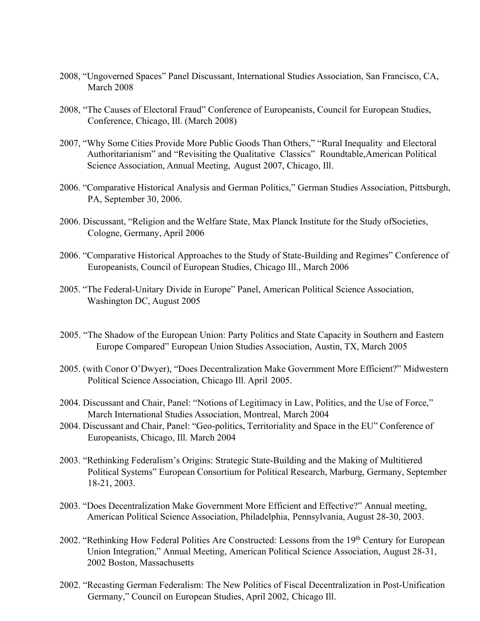- 2008, "Ungoverned Spaces" Panel Discussant, International Studies Association, San Francisco, CA, March 2008
- 2008, "The Causes of Electoral Fraud" Conference of Europeanists, Council for European Studies, Conference, Chicago, Ill. (March 2008)
- 2007, "Why Some Cities Provide More Public Goods Than Others," "Rural Inequality and Electoral Authoritarianism" and "Revisiting the Qualitative Classics" Roundtable,American Political Science Association, Annual Meeting, August 2007, Chicago, Ill.
- 2006. "Comparative Historical Analysis and German Politics," German Studies Association, Pittsburgh, PA, September 30, 2006.
- 2006. Discussant, "Religion and the Welfare State, Max Planck Institute for the Study ofSocieties, Cologne, Germany, April 2006
- 2006. "Comparative Historical Approaches to the Study of State-Building and Regimes" Conference of Europeanists, Council of European Studies, Chicago Ill., March 2006
- 2005. "The Federal-Unitary Divide in Europe" Panel, American Political Science Association, Washington DC, August 2005
- 2005. "The Shadow of the European Union: Party Politics and State Capacity in Southern and Eastern Europe Compared" European Union Studies Association, Austin, TX, March 2005
- 2005. (with Conor O'Dwyer), "Does Decentralization Make Government More Efficient?" Midwestern Political Science Association, Chicago Ill. April 2005.
- 2004. Discussant and Chair, Panel: "Notions of Legitimacy in Law, Politics, and the Use of Force," March International Studies Association, Montreal, March 2004
- 2004. Discussant and Chair, Panel: "Geo-politics, Territoriality and Space in the EU" Conference of Europeanists, Chicago, Ill. March 2004
- 2003. "Rethinking Federalism's Origins: Strategic State-Building and the Making of Multitiered Political Systems" European Consortium for Political Research, Marburg, Germany, September 18-21, 2003.
- 2003. "Does Decentralization Make Government More Efficient and Effective?" Annual meeting, American Political Science Association, Philadelphia, Pennsylvania, August 28-30, 2003.
- 2002. "Rethinking How Federal Polities Are Constructed: Lessons from the 19<sup>th</sup> Century for European Union Integration," Annual Meeting, American Political Science Association, August 28-31, 2002 Boston, Massachusetts
- 2002. "Recasting German Federalism: The New Politics of Fiscal Decentralization in Post-Unification Germany," Council on European Studies, April 2002, Chicago Ill.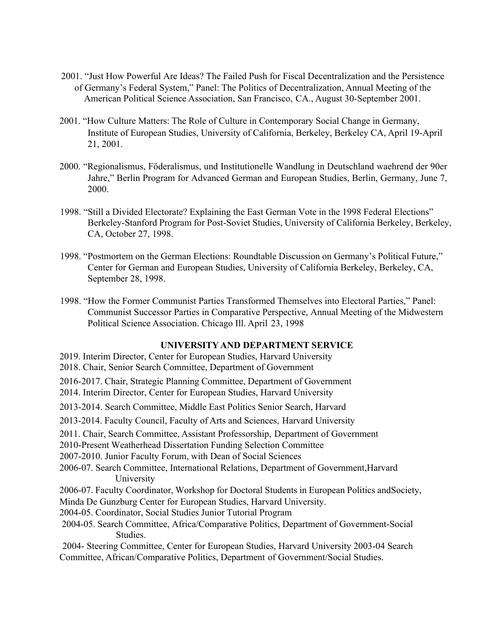- 2001. "Just How Powerful Are Ideas? The Failed Push for Fiscal Decentralization and the Persistence of Germany's Federal System," Panel: The Politics of Decentralization, Annual Meeting of the American Political Science Association, San Francisco, CA., August 30-September 2001.
- 2001. "How Culture Matters: The Role of Culture in Contemporary Social Change in Germany, Institute of European Studies, University of California, Berkeley, Berkeley CA, April 19-April 21, 2001.
- 2000. "Regionalismus, Föderalismus, und Institutionelle Wandlung in Deutschland waehrend der 90er Jahre," Berlin Program for Advanced German and European Studies, Berlin, Germany, June 7, 2000.
- 1998. "Still a Divided Electorate? Explaining the East German Vote in the 1998 Federal Elections" Berkeley-Stanford Program for Post-Soviet Studies, University of California Berkeley, Berkeley, CA, October 27, 1998.
- 1998. "Postmortem on the German Elections: Roundtable Discussion on Germany's Political Future," Center for German and European Studies, University of California Berkeley, Berkeley, CA, September 28, 1998.
- 1998. "How the Former Communist Parties Transformed Themselves into Electoral Parties," Panel: Communist Successor Parties in Comparative Perspective, Annual Meeting of the Midwestern Political Science Association. Chicago Ill. April 23, 1998

# **UNIVERSITY AND DEPARTMENT SERVICE**

2019. Interim Director, Center for European Studies, Harvard University 2018. Chair, Senior Search Committee, Department of Government 2016-2017. Chair, Strategic Planning Committee, Department of Government 2014. Interim Director, Center for European Studies, Harvard University 2013-2014. Search Committee, Middle East Politics Senior Search, Harvard 2013-2014. Faculty Council, Faculty of Arts and Sciences, Harvard University 2011. Chair, Search Committee, Assistant Professorship, Department of Government 2010-Present Weatherhead Dissertation Funding Selection Committee 2007-2010. Junior Faculty Forum, with Dean of Social Sciences 2006-07. Search Committee, International Relations, Department of Government,Harvard University 2006-07. Faculty Coordinator, Workshop for Doctoral Students in European Politics andSociety, Minda De Gunzburg Center for European Studies, Harvard University. 2004-05. Coordinator, Social Studies Junior Tutorial Program 2004-05. Search Committee, Africa/Comparative Politics, Department of Government-Social Studies. 2004- Steering Committee, Center for European Studies, Harvard University 2003-04 Search Committee, African/Comparative Politics, Department of Government/Social Studies.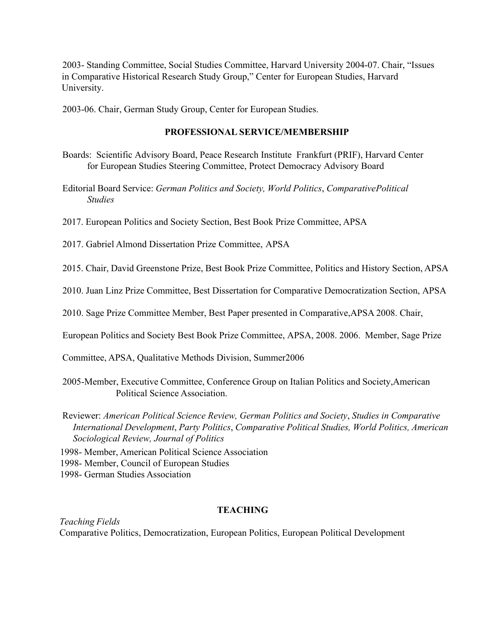2003- Standing Committee, Social Studies Committee, Harvard University 2004-07. Chair, "Issues in Comparative Historical Research Study Group," Center for European Studies, Harvard University.

2003-06. Chair, German Study Group, Center for European Studies.

#### **PROFESSIONAL SERVICE/MEMBERSHIP**

- Boards: Scientific Advisory Board, Peace Research Institute Frankfurt (PRIF), Harvard Center for European Studies Steering Committee, Protect Democracy Advisory Board
- Editorial Board Service: *German Politics and Society, World Politics*, *ComparativePolitical Studies*
- 2017. European Politics and Society Section, Best Book Prize Committee, APSA
- 2017. Gabriel Almond Dissertation Prize Committee, APSA

2015. Chair, David Greenstone Prize, Best Book Prize Committee, Politics and History Section, APSA

2010. Juan Linz Prize Committee, Best Dissertation for Comparative Democratization Section, APSA

2010. Sage Prize Committee Member, Best Paper presented in Comparative,APSA 2008. Chair,

European Politics and Society Best Book Prize Committee, APSA, 2008. 2006. Member, Sage Prize

Committee, APSA, Qualitative Methods Division, Summer2006

- 2005-Member, Executive Committee, Conference Group on Italian Politics and Society,American Political Science Association.
- Reviewer: *American Political Science Review, German Politics and Society*, *Studies in Comparative International Development*, *Party Politics*, *Comparative Political Studies, World Politics, American Sociological Review, Journal of Politics*

1998- Member, American Political Science Association

1998- Member, Council of European Studies

1998- German Studies Association

#### **TEACHING**

*Teaching Fields* Comparative Politics, Democratization, European Politics, European Political Development